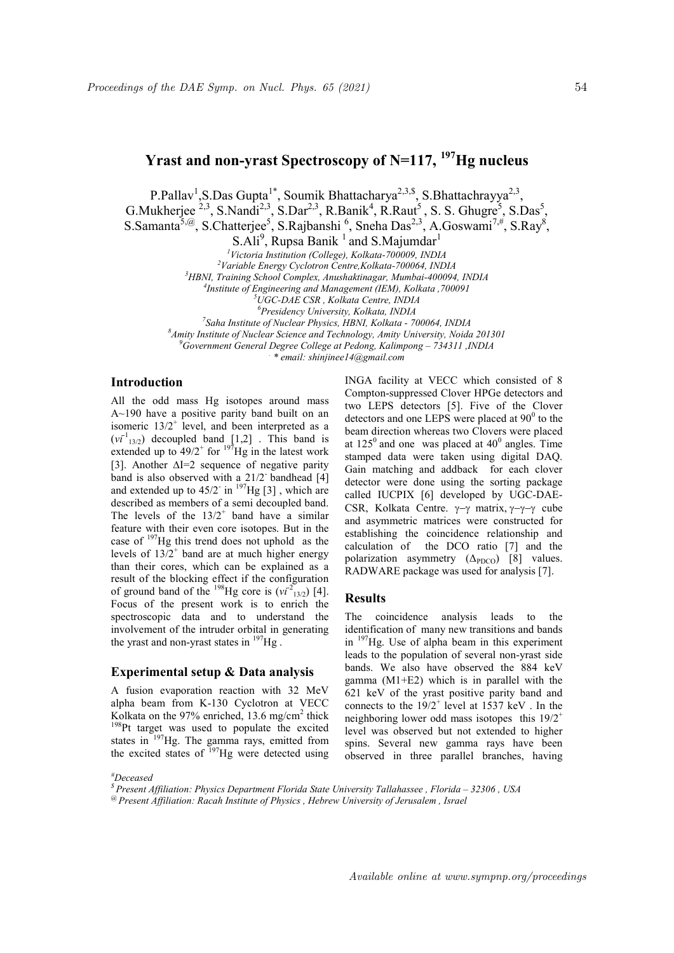# Yrast and non-yrast Spectroscopy of  $N=117$ ,  $^{197}$ Hg nucleus

P.Pallav<sup>1</sup>, S.Das Gupta<sup>1\*</sup>, Soumik Bhattacharya<sup>2,3,\$</sup>, S.Bhattachrayya<sup>2,3</sup>, G. Mukherjee  $^{2,3}$ , S. Nandi<sup>2,3</sup>, S. Dar<sup>2,3</sup>, R. Banik<sup>4</sup>, R. Raut<sup>5</sup>, S. S. Ghugre<sup>5</sup>, S. Das<sup>5</sup>, S.Samanta<sup>5,@</sup>, S.Chatterjee<sup>5</sup>, S.Rajbanshi<sup>6</sup>, Sneha Das<sup>2,3</sup>, A.Goswami<sup>7,#</sup>, S.Ray<sup>8</sup>,  $S.$ Ali<sup>9</sup>, Rupsa Banik<sup>1</sup> and S.Majumdar<sup>1</sup>

<sup>1</sup>Victoria Institution (College), Kolkata-700009, INDIA

<sup>2</sup>Variable Energy Cyclotron Centre,Kolkata-700064, INDIA

<sup>3</sup>HBNI, Training School Complex, Anushaktinagar, Mumbai-400094, INDIA

4 Institute of Engineering and Management (IEM), Kolkata ,700091

<sup>5</sup>UGC-DAE CSR , Kolkata Centre, INDIA

<sup>6</sup>Presidency University, Kolkata, INDIA

<sup>7</sup>Saha Institute of Nuclear Physics, HBNI, Kolkata - 700064, INDIA

 ${}^8$ Amity Institute of Nuclear Science and Technology, Amity University, Noida 201301

 $^{9}$ Government General Degree College at Pedong, Kalimpong – 734311, INDIA

. \* email: shinjinee14@gmail.com

## Introduction

All the odd mass Hg isotopes around mass A~190 have a positive parity band built on an isomeric  $13/2^+$  level, and been interpreted as a  $(vi<sup>-1</sup>_{13/2})$  decoupled band [1,2]. This band is extended up to  $49/2^+$  for  $197$ Hg in the latest work [3]. Another  $\Delta I=2$  sequence of negative parity band is also observed with a 21/2 bandhead [4] and extended up to  $45/2$ <sup>-</sup> in <sup>197</sup>Hg [3], which are described as members of a semi decoupled band. The levels of the  $13/2^+$  band have a similar feature with their even core isotopes. But in the case of <sup>197</sup>Hg this trend does not uphold as the levels of  $13/2^+$  band are at much higher energy than their cores, which can be explained as a result of the blocking effect if the configuration of ground band of the <sup>198</sup>Hg core is  $(vi^{2}$ <sub>13/2</sub>) [4]. Focus of the present work is to enrich the spectroscopic data and to understand the involvement of the intruder orbital in generating the yrast and non-yrast states in  $^{197}$ Hg.

### Experimental setup & Data analysis

A fusion evaporation reaction with 32 MeV alpha beam from K-130 Cyclotron at VECC Kolkata on the 97% enriched, 13.6 mg/cm<sup>2</sup> thick <sup>198</sup>Pt target was used to populate the excited states in  $197$ Hg. The gamma rays, emitted from the excited states of  $^{197}$ Hg were detected using

INGA facility at VECC which consisted of 8 Compton-suppressed Clover HPGe detectors and two LEPS detectors [5]. Five of the Clover detectors and one LEPS were placed at  $90^0$  to the beam direction whereas two Clovers were placed at  $125^{\circ}$  and one was placed at  $40^{\circ}$  angles. Time stamped data were taken using digital DAQ. Gain matching and addback for each clover detector were done using the sorting package called IUCPIX [6] developed by UGC-DAE-CSR, Kolkata Centre.  $\nu-\gamma$  matrix,  $\nu-\gamma-\gamma$  cube and asymmetric matrices were constructed for establishing the coincidence relationship and calculation of the DCO ratio [7] and the polarization asymmetry  $(\Delta_{\text{PDCO}})$  [8] values. RADWARE package was used for analysis [7].

#### **Results**

The coincidence analysis leads to the identification of many new transitions and bands in <sup>197</sup>Hg. Use of alpha beam in this experiment leads to the population of several non-yrast side bands. We also have observed the 884 keV gamma (M1+E2) which is in parallel with the 621 keV of the yrast positive parity band and connects to the  $19/2^+$  level at 1537 keV. In the neighboring lower odd mass isotopes this  $19/2^+$ level was observed but not extended to higher spins. Several new gamma rays have been observed in three parallel branches, having

#### #Deceased

\$ Present Affiliation: Physics Department Florida State University Tallahassee , Florida – 32306 , USA  $^{\circledR}$  Present Affiliation: Racah Institute of Physics , Hebrew University of Jerusalem , Israel